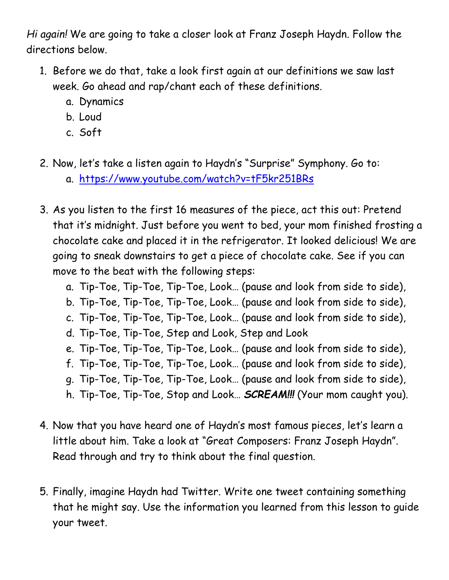*Hi again!* We are going to take a closer look at Franz Joseph Haydn. Follow the directions below.

- 1. Before we do that, take a look first again at our definitions we saw last week. Go ahead and rap/chant each of these definitions.
	- a. Dynamics
	- b. Loud
	- c. Soft
- 2. Now, let's take a listen again to Haydn's "Surprise" Symphony. Go to:
	- a. <https://www.youtube.com/watch?v=tF5kr251BRs>
- 3. As you listen to the first 16 measures of the piece, act this out: Pretend that it's midnight. Just before you went to bed, your mom finished frosting a chocolate cake and placed it in the refrigerator. It looked delicious! We are going to sneak downstairs to get a piece of chocolate cake. See if you can move to the beat with the following steps:
	- a. Tip-Toe, Tip-Toe, Tip-Toe, Look… (pause and look from side to side),
	- b. Tip-Toe, Tip-Toe, Tip-Toe, Look… (pause and look from side to side),
	- c. Tip-Toe, Tip-Toe, Tip-Toe, Look… (pause and look from side to side),
	- d. Tip-Toe, Tip-Toe, Step and Look, Step and Look
	- e. Tip-Toe, Tip-Toe, Tip-Toe, Look… (pause and look from side to side),
	- f. Tip-Toe, Tip-Toe, Tip-Toe, Look… (pause and look from side to side),
	- g. Tip-Toe, Tip-Toe, Tip-Toe, Look… (pause and look from side to side),
	- h. Tip-Toe, Tip-Toe, Stop and Look… *SCREAM!!!* (Your mom caught you).
- 4. Now that you have heard one of Haydn's most famous pieces, let's learn a little about him. Take a look at "Great Composers: Franz Joseph Haydn". Read through and try to think about the final question.
- 5. Finally, imagine Haydn had Twitter. Write one tweet containing something that he might say. Use the information you learned from this lesson to guide your tweet.